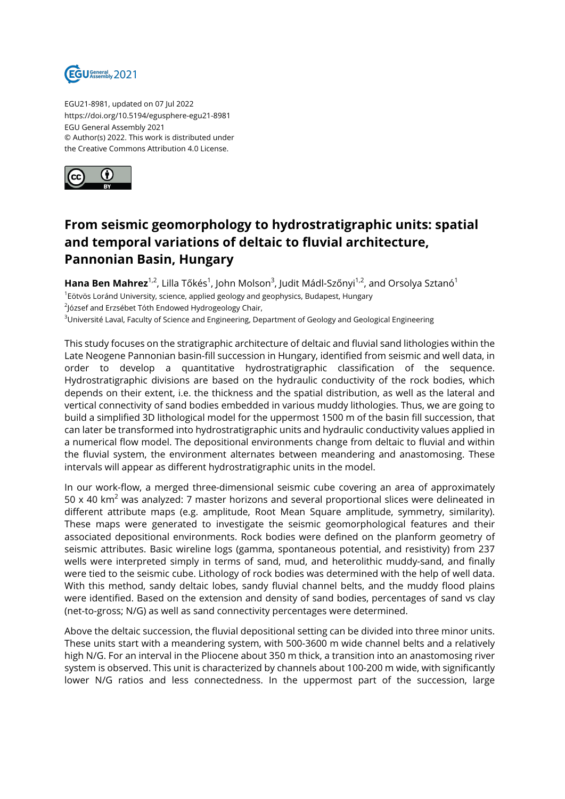

EGU21-8981, updated on 07 Jul 2022 https://doi.org/10.5194/egusphere-egu21-8981 EGU General Assembly 2021 © Author(s) 2022. This work is distributed under the Creative Commons Attribution 4.0 License.



## **From seismic geomorphology to hydrostratigraphic units: spatial and temporal variations of deltaic to fluvial architecture, Pannonian Basin, Hungary**

**Hana Ben Mahrez** $^{1,2}$ **,** Lilla Tőkés $^1$ , John Molson $^3$ , Judit Mádl-Szőnyi $^{1,2}$ , and Orsolya Sztanó $^1$ <sup>1</sup>Eötvös Loránd University, science, applied geology and geophysics, Budapest, Hungary  $^{2}$ József and Erzsébet Tóth Endowed Hydrogeology Chair, <sup>3</sup>Université Laval, Faculty of Science and Engineering, Department of Geology and Geological Engineering

This study focuses on the stratigraphic architecture of deltaic and fluvial sand lithologies within the Late Neogene Pannonian basin-fill succession in Hungary, identified from seismic and well data, in order to develop a quantitative hydrostratigraphic classification of the sequence. Hydrostratigraphic divisions are based on the hydraulic conductivity of the rock bodies, which depends on their extent, i.e. the thickness and the spatial distribution, as well as the lateral and vertical connectivity of sand bodies embedded in various muddy lithologies. Thus, we are going to build a simplified 3D lithological model for the uppermost 1500 m of the basin fill succession, that can later be transformed into hydrostratigraphic units and hydraulic conductivity values applied in a numerical flow model. The depositional environments change from deltaic to fluvial and within the fluvial system, the environment alternates between meandering and anastomosing. These intervals will appear as different hydrostratigraphic units in the model.

In our work-flow, a merged three-dimensional seismic cube covering an area of approximately 50 x 40 km<sup>2</sup> was analyzed: 7 master horizons and several proportional slices were delineated in different attribute maps (e.g. amplitude, Root Mean Square amplitude, symmetry, similarity). These maps were generated to investigate the seismic geomorphological features and their associated depositional environments. Rock bodies were defined on the planform geometry of seismic attributes. Basic wireline logs (gamma, spontaneous potential, and resistivity) from 237 wells were interpreted simply in terms of sand, mud, and heterolithic muddy-sand, and finally were tied to the seismic cube. Lithology of rock bodies was determined with the help of well data. With this method, sandy deltaic lobes, sandy fluvial channel belts, and the muddy flood plains were identified. Based on the extension and density of sand bodies, percentages of sand vs clay (net-to-gross; N/G) as well as sand connectivity percentages were determined.

Above the deltaic succession, the fluvial depositional setting can be divided into three minor units. These units start with a meandering system, with 500-3600 m wide channel belts and a relatively high N/G. For an interval in the Pliocene about 350 m thick, a transition into an anastomosing river system is observed. This unit is characterized by channels about 100-200 m wide, with significantly lower N/G ratios and less connectedness. In the uppermost part of the succession, large